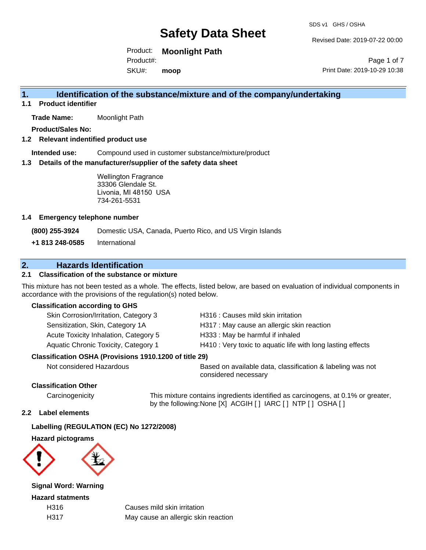Revised Date: 2019-07-22 00:00

Product: **Moonlight Path** Product#:

SKU#: **moop**

Page 1 of 7 Print Date: 2019-10-29 10:38

## **1. Identification of the substance/mixture and of the company/undertaking**

**1.1 Product identifier**

**Trade Name:** Moonlight Path

**Product/Sales No:**

**1.2 Relevant indentified product use**

**Intended use:** Compound used in customer substance/mixture/product

**1.3 Details of the manufacturer/supplier of the safety data sheet**

Wellington Fragrance 33306 Glendale St. Livonia, MI 48150 USA 734-261-5531

#### **1.4 Emergency telephone number**

**(800) 255-3924** Domestic USA, Canada, Puerto Rico, and US Virgin Islands

**+1 813 248-0585** International

## **2. Hazards Identification**

### **2.1 Classification of the substance or mixture**

This mixture has not been tested as a whole. The effects, listed below, are based on evaluation of individual components in accordance with the provisions of the regulation(s) noted below.

#### **Classification according to GHS**

| Skin Corrosion/Irritation, Category 3 | H316 : Causes mild skin irritation                          |
|---------------------------------------|-------------------------------------------------------------|
| Sensitization, Skin, Category 1A      | H317 : May cause an allergic skin reaction                  |
| Acute Toxicity Inhalation, Category 5 | H333: May be harmful if inhaled                             |
| Aquatic Chronic Toxicity, Category 1  | H410 : Very toxic to aquatic life with long lasting effects |
|                                       |                                                             |

#### **Classification OSHA (Provisions 1910.1200 of title 29)**

Not considered Hazardous **Based on available data, classification & labeling was not** considered necessary

#### **Classification Other**

Carcinogenicity This mixture contains ingredients identified as carcinogens, at 0.1% or greater, by the following:None [X] ACGIH [ ] IARC [ ] NTP [ ] OSHA [ ]

#### **2.2 Label elements**

#### **Labelling (REGULATION (EC) No 1272/2008)**

**Hazard pictograms**



**Signal Word: Warning**

**Hazard statments**

H316 Causes mild skin irritation H317 May cause an allergic skin reaction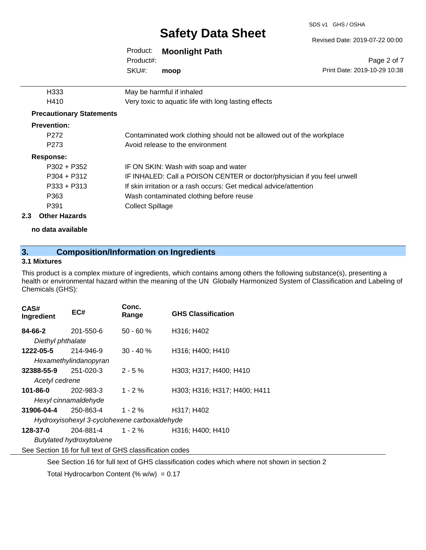SDS v1 GHS / OSHA

Revised Date: 2019-07-22 00:00

| Product:  | <b>Moonlight Path</b> |
|-----------|-----------------------|
| Product#: |                       |
| SKU#:     | moop                  |

Page 2 of 7 Print Date: 2019-10-29 10:38

|     | H333                            | May be harmful if inhaled                                               |
|-----|---------------------------------|-------------------------------------------------------------------------|
|     | H410                            | Very toxic to aquatic life with long lasting effects                    |
|     | <b>Precautionary Statements</b> |                                                                         |
|     | <b>Prevention:</b>              |                                                                         |
|     | P <sub>272</sub>                | Contaminated work clothing should not be allowed out of the workplace   |
|     | P <sub>273</sub>                | Avoid release to the environment                                        |
|     | Response:                       |                                                                         |
|     | $P302 + P352$                   | IF ON SKIN: Wash with soap and water                                    |
|     | $P304 + P312$                   | IF INHALED: Call a POISON CENTER or doctor/physician if you feel unwell |
|     | $P333 + P313$                   | If skin irritation or a rash occurs: Get medical advice/attention       |
|     | P363                            | Wash contaminated clothing before reuse                                 |
|     | P391                            | <b>Collect Spillage</b>                                                 |
| 2.3 | <b>Other Hazards</b>            |                                                                         |
|     |                                 |                                                                         |

**no data available**

# **3. Composition/Information on Ingredients**

#### **3.1 Mixtures**

This product is a complex mixture of ingredients, which contains among others the following substance(s), presenting a health or environmental hazard within the meaning of the UN Globally Harmonized System of Classification and Labeling of Chemicals (GHS):

| CAS#<br>Ingredient                                       | EC#                   | Conc.<br>Range | <b>GHS Classification</b>    |
|----------------------------------------------------------|-----------------------|----------------|------------------------------|
| 84-66-2                                                  | 201-550-6             | $50 - 60%$     | H316; H402                   |
| Diethyl phthalate                                        |                       |                |                              |
| 1222-05-5                                                | 214-946-9             | $30 - 40 \%$   | H316; H400; H410             |
|                                                          | Hexamethylindanopyran |                |                              |
| $32388 - 55 - 9$ 251-020-3                               |                       | $2 - 5 \%$     | H303; H317; H400; H410       |
| Acetyl cedrene                                           |                       |                |                              |
| 101-86-0                                                 | 202-983-3             | $1 - 2 \%$     | H303; H316; H317; H400; H411 |
| Hexyl cinnamaldehyde                                     |                       |                |                              |
| 31906-04-4                                               | 250-863-4             | $1 - 2 \%$     | H317; H402                   |
| Hydroxyisohexyl 3-cyclohexene carboxaldehyde             |                       |                |                              |
| 128-37-0                                                 | 204-881-4 1 - 2 %     |                | H316; H400; H410             |
| Butylated hydroxytoluene                                 |                       |                |                              |
| See Section 16 for full text of GHS classification codes |                       |                |                              |

See Section 16 for full text of GHS classification codes which where not shown in section 2

Total Hydrocarbon Content (%  $w/w$ ) = 0.17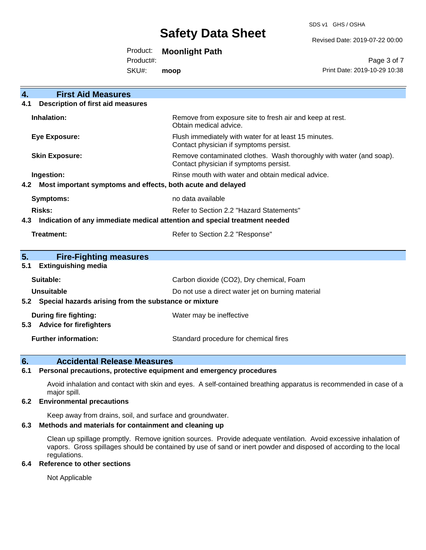SDS v1 GHS / OSHA

Revised Date: 2019-07-22 00:00

Product: **Moonlight Path**

Product#:

SKU#: **moop**

Page 3 of 7 Print Date: 2019-10-29 10:38

| <b>First Aid Measures</b><br>4.                                                   |                                                                                                               |
|-----------------------------------------------------------------------------------|---------------------------------------------------------------------------------------------------------------|
| <b>Description of first aid measures</b><br>4.1                                   |                                                                                                               |
| Inhalation:                                                                       | Remove from exposure site to fresh air and keep at rest.<br>Obtain medical advice.                            |
| <b>Eye Exposure:</b>                                                              | Flush immediately with water for at least 15 minutes.<br>Contact physician if symptoms persist.               |
| <b>Skin Exposure:</b>                                                             | Remove contaminated clothes. Wash thoroughly with water (and soap).<br>Contact physician if symptoms persist. |
| Ingestion:                                                                        | Rinse mouth with water and obtain medical advice.                                                             |
| Most important symptoms and effects, both acute and delayed<br>4.2                |                                                                                                               |
| <b>Symptoms:</b>                                                                  | no data available                                                                                             |
| Risks:                                                                            | Refer to Section 2.2 "Hazard Statements"                                                                      |
| Indication of any immediate medical attention and special treatment needed<br>4.3 |                                                                                                               |
| Treatment:                                                                        | Refer to Section 2.2 "Response"                                                                               |
|                                                                                   |                                                                                                               |
| 5.<br><b>Fire-Fighting measures</b><br><b>Extinguishing media</b><br>5.1          |                                                                                                               |
| Suitable:                                                                         | Carbon dioxide (CO2), Dry chemical, Foam                                                                      |
| Unsuitable                                                                        | Do not use a direct water jet on burning material                                                             |
| Special hazards arising from the substance or mixture<br>5.2                      |                                                                                                               |
| <b>During fire fighting:</b>                                                      | Water may be ineffective                                                                                      |
| <b>Advice for firefighters</b><br>5.3                                             |                                                                                                               |
| <b>Further information:</b>                                                       | Standard procedure for chemical fires                                                                         |

### **6. Accidental Release Measures**

#### **6.1 Personal precautions, protective equipment and emergency procedures**

Avoid inhalation and contact with skin and eyes. A self-contained breathing apparatus is recommended in case of a major spill.

#### **6.2 Environmental precautions**

Keep away from drains, soil, and surface and groundwater.

### **6.3 Methods and materials for containment and cleaning up**

Clean up spillage promptly. Remove ignition sources. Provide adequate ventilation. Avoid excessive inhalation of vapors. Gross spillages should be contained by use of sand or inert powder and disposed of according to the local regulations.

#### **6.4 Reference to other sections**

Not Applicable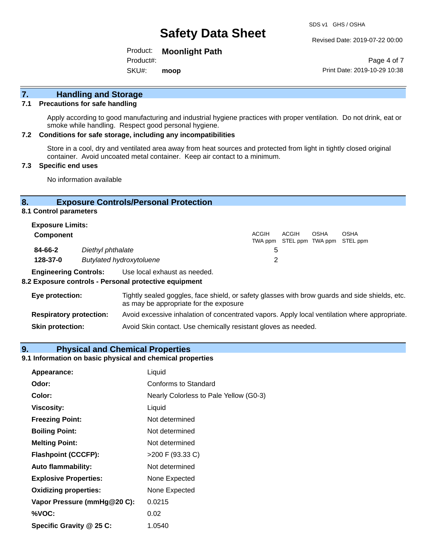Revised Date: 2019-07-22 00:00

Product: **Moonlight Path** Product#:

SKU#: **moop**

Page 4 of 7 Print Date: 2019-10-29 10:38

# **7. Handling and Storage**

#### **7.1 Precautions for safe handling**

Apply according to good manufacturing and industrial hygiene practices with proper ventilation. Do not drink, eat or smoke while handling. Respect good personal hygiene.

#### **7.2 Conditions for safe storage, including any incompatibilities**

Store in a cool, dry and ventilated area away from heat sources and protected from light in tightly closed original container. Avoid uncoated metal container. Keep air contact to a minimum.

#### **7.3 Specific end uses**

No information available

#### **8. Exposure Controls/Personal Protection**

**8.1 Control parameters**

| <b>Exposure Limits:</b> |                          |       |       |      |                                                  |
|-------------------------|--------------------------|-------|-------|------|--------------------------------------------------|
| <b>Component</b>        |                          | ACGIH | ACGIH | OSHA | <b>OSHA</b><br>TWA ppm STEL ppm TWA ppm STEL ppm |
| 84-66-2                 | Diethyl phthalate        | 5     |       |      |                                                  |
| 128-37-0                | Butylated hydroxytoluene |       |       |      |                                                  |

**Engineering Controls:** Use local exhaust as needed.

#### **8.2 Exposure controls - Personal protective equipment**

| Eye protection:                | Tightly sealed goggles, face shield, or safety glasses with brow guards and side shields, etc.<br>as may be appropriate for the exposure |
|--------------------------------|------------------------------------------------------------------------------------------------------------------------------------------|
| <b>Respiratory protection:</b> | Avoid excessive inhalation of concentrated vapors. Apply local ventilation where appropriate.                                            |
| <b>Skin protection:</b>        | Avoid Skin contact. Use chemically resistant gloves as needed.                                                                           |

#### **9. Physical and Chemical Properties**

#### **9.1 Information on basic physical and chemical properties**

| Appearance:                  | Liquid                                 |
|------------------------------|----------------------------------------|
| Odor:                        | Conforms to Standard                   |
| Color:                       | Nearly Colorless to Pale Yellow (G0-3) |
| Viscosity:                   | Liquid                                 |
| <b>Freezing Point:</b>       | Not determined                         |
| <b>Boiling Point:</b>        | Not determined                         |
| <b>Melting Point:</b>        | Not determined                         |
| <b>Flashpoint (CCCFP):</b>   | >200 F (93.33 C)                       |
| <b>Auto flammability:</b>    | Not determined                         |
| <b>Explosive Properties:</b> | None Expected                          |
| <b>Oxidizing properties:</b> | None Expected                          |
| Vapor Pressure (mmHg@20 C):  | 0.0215                                 |
| %VOC:                        | 0.02                                   |
| Specific Gravity @ 25 C:     | 1.0540                                 |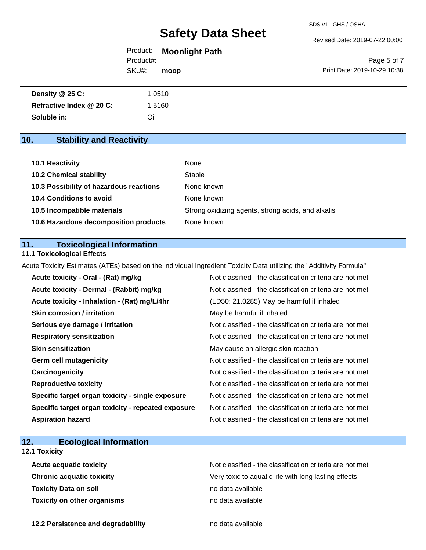Revised Date: 2019-07-22 00:00

| Product:  | <b>Moonlight Path</b> |  |
|-----------|-----------------------|--|
| Product#: |                       |  |

SKU#: **moop**

Page 5 of 7 Print Date: 2019-10-29 10:38

| Density @ 25 C:          | 1.0510 |
|--------------------------|--------|
| Refractive Index @ 20 C: | 1.5160 |
| Soluble in:              | Oil    |

# **10. Stability and Reactivity**

| 10.1 Reactivity                         | None                                               |
|-----------------------------------------|----------------------------------------------------|
| <b>10.2 Chemical stability</b>          | Stable                                             |
| 10.3 Possibility of hazardous reactions | None known                                         |
| <b>10.4 Conditions to avoid</b>         | None known                                         |
| 10.5 Incompatible materials             | Strong oxidizing agents, strong acids, and alkalis |
| 10.6 Hazardous decomposition products   | None known                                         |

### **11. Toxicological Information**

#### **11.1 Toxicological Effects**

Acute Toxicity Estimates (ATEs) based on the individual Ingredient Toxicity Data utilizing the "Additivity Formula"

| Acute toxicity - Oral - (Rat) mg/kg                | Not classified - the classification criteria are not met |
|----------------------------------------------------|----------------------------------------------------------|
| Acute toxicity - Dermal - (Rabbit) mg/kg           | Not classified - the classification criteria are not met |
| Acute toxicity - Inhalation - (Rat) mg/L/4hr       | (LD50: 21.0285) May be harmful if inhaled                |
| <b>Skin corrosion / irritation</b>                 | May be harmful if inhaled                                |
| Serious eye damage / irritation                    | Not classified - the classification criteria are not met |
| <b>Respiratory sensitization</b>                   | Not classified - the classification criteria are not met |
| <b>Skin sensitization</b>                          | May cause an allergic skin reaction                      |
| <b>Germ cell mutagenicity</b>                      | Not classified - the classification criteria are not met |
| Carcinogenicity                                    | Not classified - the classification criteria are not met |
| <b>Reproductive toxicity</b>                       | Not classified - the classification criteria are not met |
| Specific target organ toxicity - single exposure   | Not classified - the classification criteria are not met |
| Specific target organ toxicity - repeated exposure | Not classified - the classification criteria are not met |
| <b>Aspiration hazard</b>                           | Not classified - the classification criteria are not met |

# **12. Ecological Information**

## **12.1 Toxicity**

| <b>Acute acquatic toxicity</b>     | Not classified - the classification criteria are not met |
|------------------------------------|----------------------------------------------------------|
| <b>Chronic acquatic toxicity</b>   | Very toxic to aquatic life with long lasting effects     |
| <b>Toxicity Data on soil</b>       | no data available                                        |
| <b>Toxicity on other organisms</b> | no data available                                        |

**12.2 Persistence and degradability no data available**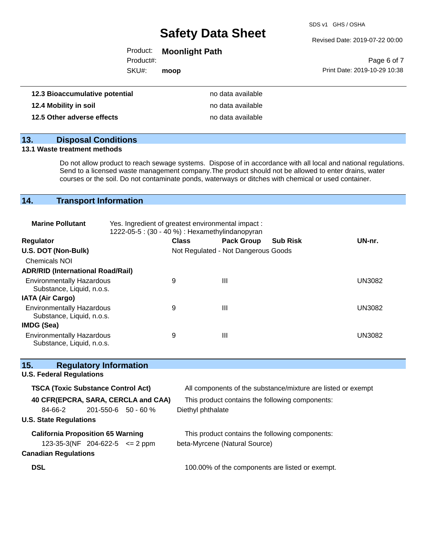SDS v1 GHS / OSHA

Revised Date: 2019-07-22 00:00

| Product: | <b>Moonlight Path</b> |
|----------|-----------------------|
|----------|-----------------------|

Product#:

SKU#: **moop**

|                              | Page 6 of 7 |
|------------------------------|-------------|
| Print Date: 2019-10-29 10:38 |             |

| 12.3 Bioaccumulative potential | no data available |
|--------------------------------|-------------------|
| 12.4 Mobility in soil          | no data available |
| 12.5 Other adverse effects     | no data available |

## **13. Disposal Conditions**

#### **13.1 Waste treatment methods**

Do not allow product to reach sewage systems. Dispose of in accordance with all local and national regulations. Send to a licensed waste management company.The product should not be allowed to enter drains, water courses or the soil. Do not contaminate ponds, waterways or ditches with chemical or used container.

## **14. Transport Information**

| <b>Marine Pollutant</b>                                       | Yes. Ingredient of greatest environmental impact:<br>1222-05-5 : (30 - 40 %) : Hexamethylindanopyran |              |                                     |                 |               |
|---------------------------------------------------------------|------------------------------------------------------------------------------------------------------|--------------|-------------------------------------|-----------------|---------------|
| <b>Regulator</b>                                              |                                                                                                      | <b>Class</b> | <b>Pack Group</b>                   | <b>Sub Risk</b> | UN-nr.        |
| U.S. DOT (Non-Bulk)                                           |                                                                                                      |              | Not Regulated - Not Dangerous Goods |                 |               |
| <b>Chemicals NOI</b>                                          |                                                                                                      |              |                                     |                 |               |
| <b>ADR/RID (International Road/Rail)</b>                      |                                                                                                      |              |                                     |                 |               |
| <b>Environmentally Hazardous</b><br>Substance, Liquid, n.o.s. |                                                                                                      | 9            | Ш                                   |                 | <b>UN3082</b> |
| <b>IATA (Air Cargo)</b>                                       |                                                                                                      |              |                                     |                 |               |
| <b>Environmentally Hazardous</b><br>Substance, Liquid, n.o.s. |                                                                                                      | 9            | Ш                                   |                 | <b>UN3082</b> |
| IMDG (Sea)                                                    |                                                                                                      |              |                                     |                 |               |
| <b>Environmentally Hazardous</b><br>Substance, Liquid, n.o.s. |                                                                                                      | 9            | Ш                                   |                 | <b>UN3082</b> |

| 15.<br><b>Regulatory Information</b>      |                                                              |
|-------------------------------------------|--------------------------------------------------------------|
| <b>U.S. Federal Regulations</b>           |                                                              |
| <b>TSCA (Toxic Substance Control Act)</b> | All components of the substance/mixture are listed or exempt |
| 40 CFR(EPCRA, SARA, CERCLA and CAA)       | This product contains the following components:              |
| $201 - 550 - 6$ 50 - 60 %<br>84-66-2      | Diethyl phthalate                                            |
| <b>U.S. State Regulations</b>             |                                                              |
| <b>California Proposition 65 Warning</b>  | This product contains the following components:              |
| $123-35-3(NF 204-622-5 \leq 2$ ppm        | beta-Myrcene (Natural Source)                                |
| <b>Canadian Regulations</b>               |                                                              |
| <b>DSL</b>                                | 100.00% of the components are listed or exempt.              |